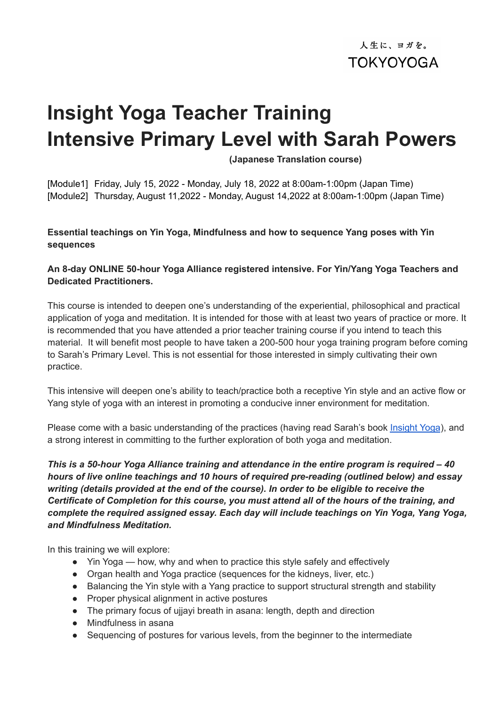人生に、ヨガを。 **TOKYOYOGA** 

# **Insight Yoga Teacher Training Intensive Primary Level with Sarah Powers**

**(Japanese Translation course)**

[Module1] Friday, July 15, 2022 - Monday, July 18, 2022 at 8:00am-1:00pm (Japan Time) [Module2] Thursday, August 11,2022 - Monday, August 14,2022 at 8:00am-1:00pm (Japan Time)

#### **Essential teachings on Yin Yoga, Mindfulness and how to sequence Yang poses with Yin sequences**

## **An 8-day ONLINE 50-hour Yoga Alliance registered intensive. For Yin/Yang Yoga Teachers and Dedicated Practitioners.**

This course is intended to deepen one's understanding of the experiential, philosophical and practical application of yoga and meditation. It is intended for those with at least two years of practice or more. It is recommended that you have attended a prior teacher training course if you intend to teach this material. It will benefit most people to have taken a 200-500 hour yoga training program before coming to Sarah's Primary Level. This is not essential for those interested in simply cultivating their own practice.

This intensive will deepen one's ability to teach/practice both a receptive Yin style and an active flow or Yang style of yoga with an interest in promoting a conducive inner environment for meditation.

Please come with a basic understanding of the practices (having read Sarah's book [Insight](http://www.sarahpowers.com/sp/media/purchase-media/insight-yoga-book/) Yoga), and a strong interest in committing to the further exploration of both yoga and meditation.

*This is a 50-hour Yoga Alliance training and attendance in the entire program is required – 40 hours of live online teachings and 10 hours of required pre-reading (outlined below) and essay writing (details provided at the end of the course). In order to be eligible to receive the Certificate of Completion for this course, you must attend all of the hours of the training, and complete the required assigned essay. Each day will include teachings on Yin Yoga, Yang Yoga, and Mindfulness Meditation.*

In this training we will explore:

- Yin Yoga how, why and when to practice this style safely and effectively
- Organ health and Yoga practice (sequences for the kidneys, liver, etc.)
- Balancing the Yin style with a Yang practice to support structural strength and stability
- Proper physical alignment in active postures
- The primary focus of ujiavi breath in asana: length, depth and direction
- Mindfulness in asana
- Sequencing of postures for various levels, from the beginner to the intermediate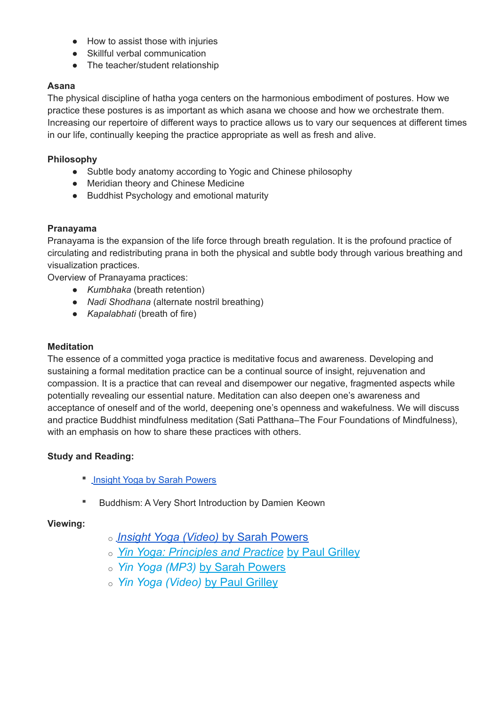- How to assist those with injuries
- Skillful verbal communication
- The teacher/student relationship

### **Asana**

The physical discipline of hatha yoga centers on the harmonious embodiment of postures. How we practice these postures is as important as which asana we choose and how we orchestrate them. Increasing our repertoire of different ways to practice allows us to vary our sequences at different times in our life, continually keeping the practice appropriate as well as fresh and alive.

## **Philosophy**

- Subtle body anatomy according to Yogic and Chinese philosophy
- Meridian theory and Chinese Medicine
- Buddhist Psychology and emotional maturity

#### **Pranayama**

Pranayama is the expansion of the life force through breath regulation. It is the profound practice of circulating and redistributing prana in both the physical and subtle body through various breathing and visualization practices.

Overview of Pranayama practices:

- *Kumbhaka* (breath retention)
- *Nadi Shodhana* (alternate nostril breathing)
- *Kapalabhati* (breath of fire)

#### **Meditation**

The essence of a committed yoga practice is meditative focus and awareness. Developing and sustaining a formal meditation practice can be a continual source of insight, rejuvenation and compassion. It is a practice that can reveal and disempower our negative, fragmented aspects while potentially revealing our essential nature. Meditation can also deepen one's awareness and acceptance of oneself and of the world, deepening one's openness and wakefulness. We will discuss and practice Buddhist mindfulness meditation (Sati Patthana–The Four Foundations of Mindfulness), with an emphasis on how to share these practices with others.

#### **Study and Reading:**

- **Insight Yoga by Sarah [Powers](https://sarahpowersinsightyoga.com/purchase-media/#insight-yoga)**
- Buddhism: A Very Short Introduction by Damien Keown

#### **Viewing:**

- o *[I](https://sarahpowersinsightyoga.com/purchase-media/#insight-yoga)[nsight Yoga \(Video\)](https://sarahpowersinsightyoga.com/purchase-media/#insight-yoga-dvd)* by Sarah Powers
- o *[Yin Yoga: Principles and Practice](https://www.bookdepository.com/Yin-Yoga-Paul-Grilley/9781935952701?ref=grid-view&qid=1638215153779&sr=1-1)* by Paul Grilley
- o *Yin Yoga (MP3)* [by Sarah Powers](https://www.sarahpowersinsightyoga.com/purchase-media/#yin-yoga-audio-cd)
- o *[Yin Yoga \(Video\)](https://pranamaya.com/courses/yin-yoga/)* by Paul Grilley